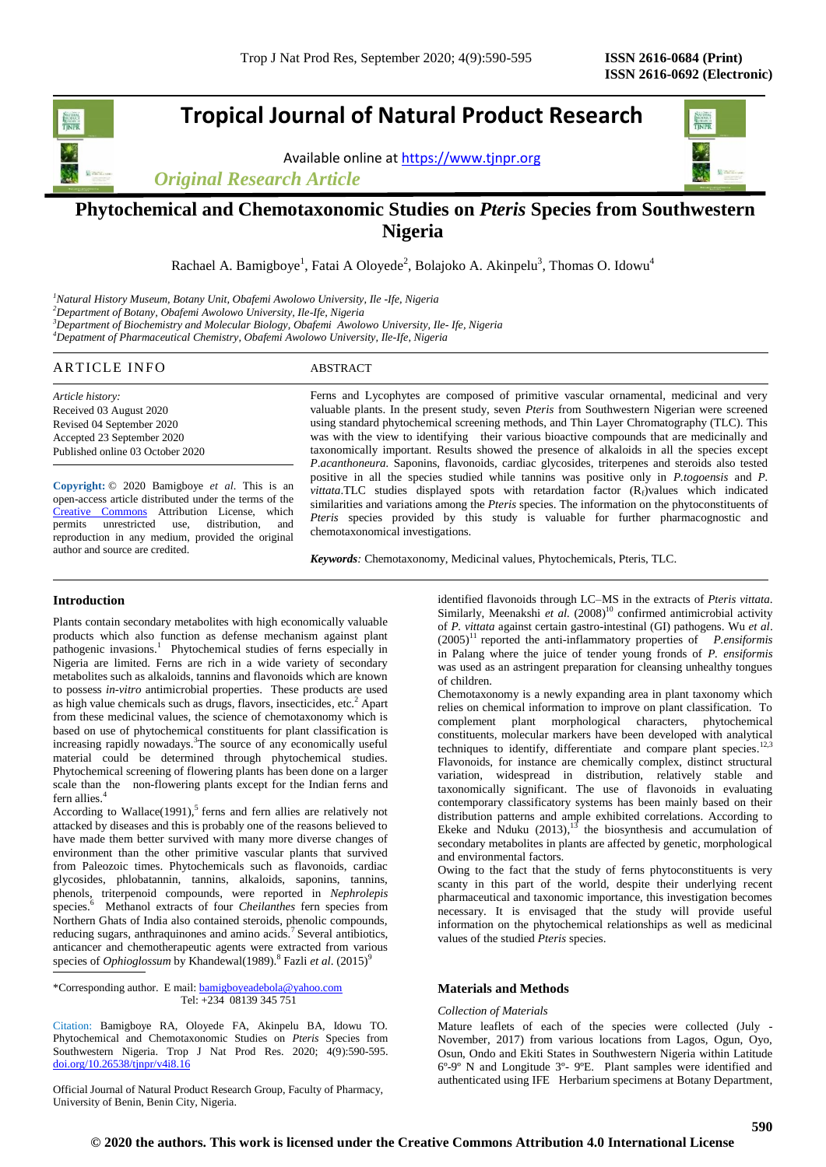# **Tropical Journal of Natural Product Research**

Available online a[t https://www.tjnpr.org](https://www.tjnpr.org/)

*Original Research Article*



# **Phytochemical and Chemotaxonomic Studies on** *Pteris* **Species from Southwestern Nigeria**

Rachael A. Bamigboye<sup>1</sup>, Fatai A Oloyede<sup>2</sup>, Bolajoko A. Akinpelu<sup>3</sup>, Thomas O. Idowu<sup>4</sup>

*<sup>1</sup>Natural History Museum, Botany Unit, Obafemi Awolowo University, Ile -Ife, Nigeria <sup>2</sup>Department of Botany, Obafemi Awolowo University, Ile-Ife, Nigeria <sup>3</sup>Department of Biochemistry and Molecular Biology, Obafemi Awolowo University, Ile- Ife, Nigeria*

*<sup>4</sup>Depatment of Pharmaceutical Chemistry, Obafemi Awolowo University, Ile-Ife, Nigeria*

# ARTICLE INFO ABSTRACT

*Article history:* Received 03 August 2020 Revised 04 September 2020 Accepted 23 September 2020 Published online 03 October 2020

**Copyright:** © 2020 Bamigboye *et al*. This is an open-access article distributed under the terms of the [Creative Commons](https://creativecommons.org/licenses/by/4.0/) Attribution License, which<br>permits unrestricted use, distribution, and permits unrestricted use, reproduction in any medium, provided the original author and source are credited.

Ferns and Lycophytes are composed of primitive vascular ornamental, medicinal and very valuable plants. In the present study, seven *Pteris* from Southwestern Nigerian were screened using standard phytochemical screening methods, and Thin Layer Chromatography (TLC). This was with the view to identifying their various bioactive compounds that are medicinally and taxonomically important. Results showed the presence of alkaloids in all the species except *P*.*acanthoneura.* Saponins, flavonoids, cardiac glycosides, triterpenes and steroids also tested positive in all the species studied while tannins was positive only in *P.togoensis* and *P. vittata*.TLC studies displayed spots with retardation factor (R<sub>f</sub>)values which indicated similarities and variations among the *Pteris* species. The information on the phytoconstituents of *Pteris* species provided by this study is valuable for further pharmacognostic and chemotaxonomical investigations.

*Keywords:* Chemotaxonomy, Medicinal values, Phytochemicals, Pteris, TLC.

# **Introduction**

Plants contain secondary metabolites with high economically valuable products which also function as defense mechanism against plant pathogenic invasions.<sup>1</sup> Phytochemical studies of ferns especially in Nigeria are limited. Ferns are rich in a wide variety of secondary metabolites such as alkaloids, tannins and flavonoids which are known to possess *in-vitro* antimicrobial properties. These products are used as high value chemicals such as drugs, flavors, insecticides, etc.<sup>2</sup> Apart from these medicinal values, the science of chemotaxonomy which is based on use of phytochemical constituents for plant classification is increasing rapidly nowadays.<sup>3</sup>The source of any economically useful material could be determined through phytochemical studies. Phytochemical screening of flowering plants has been done on a larger scale than the non-flowering plants except for the Indian ferns and fern allies.<sup>4</sup>

According to Wallace $(1991)$ ,<sup>5</sup> ferns and fern allies are relatively not attacked by diseases and this is probably one of the reasons believed to have made them better survived with many more diverse changes of environment than the other primitive vascular plants that survived from Paleozoic times. Phytochemicals such as flavonoids, cardiac glycosides, phlobatannin, tannins, alkaloids, saponins, tannins, phenols, triterpenoid compounds, were reported in *Nephrolepis* species.<sup>6</sup> Methanol extracts of four *Cheilanthes* fern species from Northern Ghats of India also contained steroids, phenolic compounds, reducing sugars, anthraquinones and amino acids.<sup>7</sup> Several antibiotics, anticancer and chemotherapeutic agents were extracted from various species of *Ophioglossum* by Khandewal(1989).<sup>8</sup> Fazli *et al.* (2015)<sup>9</sup>

\*Corresponding author. E mail[: bamigboyeadebola@yahoo.com](mailto:bamigboyeadebola@yahoo.com) Tel: +234 08139 345 751

Citation: Bamigboye RA, Oloyede FA, Akinpelu BA, Idowu TO. Phytochemical and Chemotaxonomic Studies on *Pteris* Species from Southwestern Nigeria. Trop J Nat Prod Res. 2020; 4(9):590-595. [doi.org/10.26538/tjnpr/v4i8.1](http://www.doi.org/10.26538/tjnpr/v1i4.5)6

Official Journal of Natural Product Research Group, Faculty of Pharmacy, University of Benin, Benin City, Nigeria.

identified flavonoids through LC–MS in the extracts of *Pteris vittata*. Similarly, Meenakshi et al. (2008)<sup>10</sup> confirmed antimicrobial activity of *P. vittata* against certain gastro-intestinal (GI) pathogens. Wu *et al*. (2005)<sup>11</sup> reported the anti-inflammatory properties of *P.ensiformis* in Palang where the juice of tender young fronds of *P. ensiformis* was used as an astringent preparation for cleansing unhealthy tongues of children.

Chemotaxonomy is a newly expanding area in plant taxonomy which relies on chemical information to improve on plant classification. To complement plant morphological characters, phytochemical constituents, molecular markers have been developed with analytical techniques to identify, differentiate and compare plant species.<sup>12,3</sup> Flavonoids, for instance are chemically complex, distinct structural variation, widespread in distribution, relatively stable and taxonomically significant. The use of flavonoids in evaluating contemporary classificatory systems has been mainly based on their distribution patterns and ample exhibited correlations. According to Ekeke and Nduku  $(2013)$ ,<sup>13</sup> the biosynthesis and accumulation of secondary metabolites in plants are affected by genetic, morphological and environmental factors.

Owing to the fact that the study of ferns phytoconstituents is very scanty in this part of the world, despite their underlying recent pharmaceutical and taxonomic importance, this investigation becomes necessary. It is envisaged that the study will provide useful information on the phytochemical relationships as well as medicinal values of the studied *Pteris* species.

# **Materials and Methods**

#### *Collection of Materials*

Mature leaflets of each of the species were collected (July November, 2017) from various locations from Lagos, Ogun, Oyo, Osun, Ondo and Ekiti States in Southwestern Nigeria within Latitude 6º-9º N and Longitude 3º- 9ºE. Plant samples were identified and authenticated using IFE Herbarium specimens at Botany Department,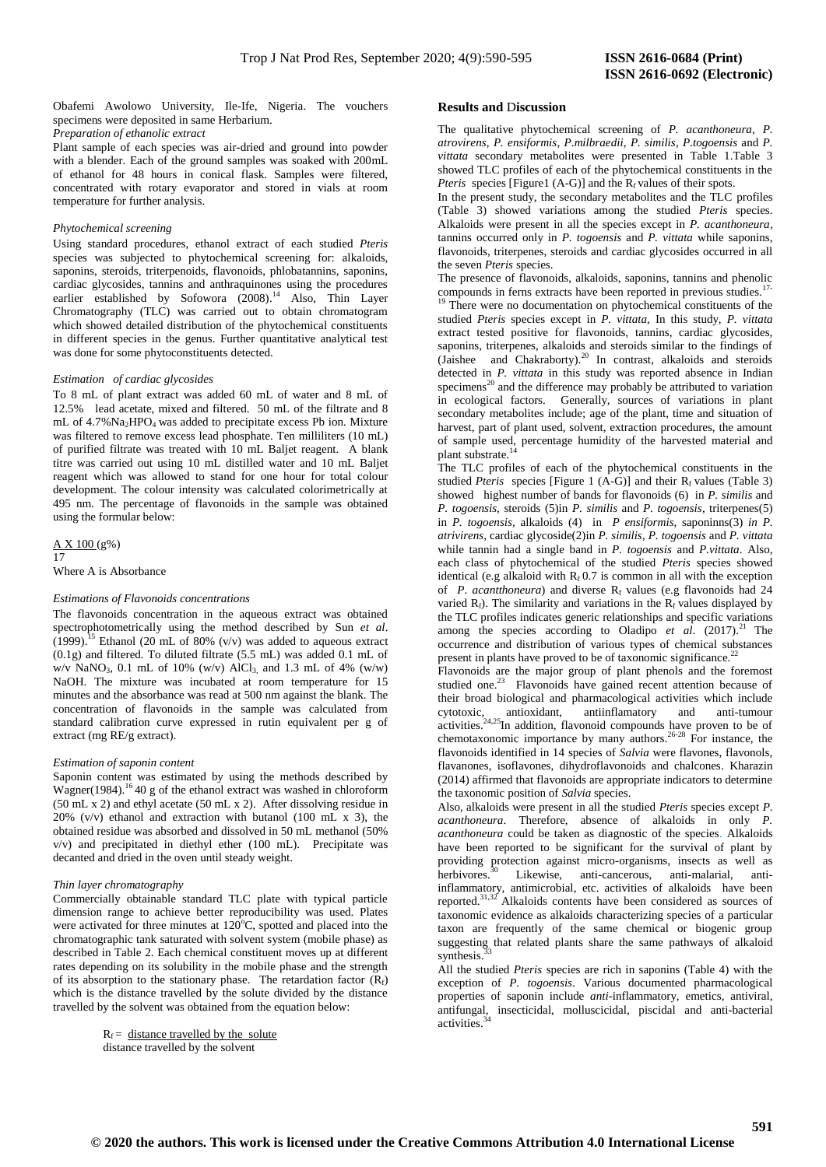Obafemi Awolowo University, Ile-Ife, Nigeria. The vouchers specimens were deposited in same Herbarium.

*Preparation of ethanolic extract*

Plant sample of each species was air-dried and ground into powder with a blender. Each of the ground samples was soaked with 200mL of ethanol for 48 hours in conical flask. Samples were filtered, concentrated with rotary evaporator and stored in vials at room temperature for further analysis.

# *Phytochemical screening*

Using standard procedures, ethanol extract of each studied *Pteris* species was subjected to phytochemical screening for: alkaloids, saponins, steroids, triterpenoids, flavonoids, phlobatannins, saponins, cardiac glycosides, tannins and anthraquinones using the procedures earlier established by Sofowora (2008).<sup>14</sup> Also, Thin Layer Chromatography (TLC) was carried out to obtain chromatogram which showed detailed distribution of the phytochemical constituents in different species in the genus. Further quantitative analytical test was done for some phytoconstituents detected.

## *Estimation of cardiac glycosides*

To 8 mL of plant extract was added 60 mL of water and 8 mL of 12.5% lead acetate, mixed and filtered. 50 mL of the filtrate and 8 mL of 4.7%Na<sub>2</sub>HPO<sub>4</sub> was added to precipitate excess Pb ion. Mixture was filtered to remove excess lead phosphate. Ten milliliters (10 mL) of purified filtrate was treated with 10 mL Baljet reagent. A blank titre was carried out using 10 mL distilled water and 10 mL Baljet reagent which was allowed to stand for one hour for total colour development. The colour intensity was calculated colorimetrically at 495 nm. The percentage of flavonoids in the sample was obtained using the formular below:

# A X 100 (g%) 17

Where A is Absorbance

#### *Estimations of Flavonoids concentrations*

The flavonoids concentration in the aqueous extract was obtained spectrophotometrically using the method described by Sun *et al*.  $(1999)$ .<sup>15</sup> Ethanol (20 mL of 80% (v/v) was added to aqueous extract (0.1g) and filtered. To diluted filtrate (5.5 mL) was added 0.1 mL of w/v NaNO3, 0.1 mL of 10% (w/v) AlCl3, and 1.3 mL of 4% (w/w) NaOH. The mixture was incubated at room temperature for 15 minutes and the absorbance was read at 500 nm against the blank. The concentration of flavonoids in the sample was calculated from standard calibration curve expressed in rutin equivalent per g of extract (mg RE/g extract).

#### *Estimation of saponin content*

Saponin content was estimated by using the methods described by Wagner(1984).<sup>16</sup>40 g of the ethanol extract was washed in chloroform (50 mL x 2) and ethyl acetate (50 mL x 2). After dissolving residue in 20% (v/v) ethanol and extraction with butanol (100 mL  $\bar{x}$  3), the obtained residue was absorbed and dissolved in 50 mL methanol (50% v/v) and precipitated in diethyl ether (100 mL). Precipitate was decanted and dried in the oven until steady weight.

#### *Thin layer chromatography*

Commercially obtainable standard TLC plate with typical particle dimension range to achieve better reproducibility was used. Plates were activated for three minutes at  $120^{\circ}$ C, spotted and placed into the chromatographic tank saturated with solvent system (mobile phase) as described in Table 2. Each chemical constituent moves up at different rates depending on its solubility in the mobile phase and the strength of its absorption to the stationary phase. The retardation factor  $(R_f)$ which is the distance travelled by the solute divided by the distance travelled by the solvent was obtained from the equation below:

> $R_f$  = distance travelled by the solute distance travelled by the solvent

#### **Results and** D**iscussion**

The qualitative phytochemical screening of *P. acanthoneura*, *P. atrovirens*, *P. ensiformis*, *P*.*milbraedii*, *P. similis*, *P*.*togoensis* and *P. vittata* secondary metabolites were presented in Table 1.Table 3 showed TLC profiles of each of the phytochemical constituents in the *Pteris* species [Figure1 (A-G)] and the  $R_f$  values of their spots.

In the present study, the secondary metabolites and the TLC profiles (Table 3) showed variations among the studied *Pteris* species. Alkaloids were present in all the species except in *P. acanthoneura*, tannins occurred only in *P. togoensis* and *P. vittata* while saponins, flavonoids, triterpenes, steroids and cardiac glycosides occurred in all the seven *Pteris* species.

The presence of flavonoids, alkaloids, saponins, tannins and phenolic compounds in ferns extracts have been reported in previous studies.<br> $\frac{19}{12}$ There

There were no documentation on phytochemical constituents of the studied *Pteris* species except in *P. vittata*, In this study, *P. vittata* extract tested positive for flavonoids, tannins, cardiac glycosides, saponins, triterpenes, alkaloids and steroids similar to the findings of (Jaishee and Chakraborty). <sup>20</sup> In contrast, alkaloids and steroids detected in *P. vittata* in this study was reported absence in Indian  $s$ pecimens<sup>20</sup> and the difference may probably be attributed to variation in ecological factors. Generally, sources of variations in plant secondary metabolites include; age of the plant, time and situation of harvest, part of plant used, solvent, extraction procedures, the amount of sample used, percentage humidity of the harvested material and plant substrate.<sup>1</sup>

The TLC profiles of each of the phytochemical constituents in the studied *Pteris* species [Figure 1  $(A-G)$ ] and their  $R_f$  values (Table 3) showed highest number of bands for flavonoids (6) in *P. similis* and *P. togoensis,* steroids (5)in *P. similis* and *P. togoensis*, triterpenes(5) in *P. togoensis,* alkaloids (4) in *P ensiformis*, saponinns(3) *in P. atrivirens,* cardiac glycoside(2)in *P. similis*, *P. togoensis* and *P. vittata* while tannin had a single band in *P. togoensis* and *P.vittata*. Also, each class of phytochemical of the studied *Pteris* species showed identical (e.g alkaloid with  $R_f$  0.7 is common in all with the exception of *P. acantthoneura*) and diverse R<sub>f</sub> values (e.g flavonoids had 24 varied  $R_f$ ). The similarity and variations in the  $R_f$  values displayed by the TLC profiles indicates generic relationships and specific variations among the species according to Oladipo *et al*. (2017). <sup>21</sup> The occurrence and distribution of various types of chemical substances present in plants have proved to be of taxonomic significance.<sup>2</sup>

Flavonoids are the major group of plant phenols and the foremost studied one.<sup>2</sup> Flavonoids have gained recent attention because of their broad biological and pharmacological activities which include cytotoxic, antioxidant, antiinflamatory and anti-tumour activities. $24.25$ In addition, flavonoid compounds have proven to be of chemotaxonomic importance by many authors.<sup>26-28</sup> For instance, the flavonoids identified in 14 species of *Salvia* were flavones, flavonols, flavanones, isoflavones, dihydroflavonoids and chalcones. Kharazin (2014) affirmed that flavonoids are appropriate indicators to determine the taxonomic position of *Salvia* species.

Also, alkaloids were present in all the studied *Pteris* species except *P. acanthoneura*. Therefore, absence of alkaloids in only *P. acanthoneura* could be taken as diagnostic of the species. Alkaloids have been reported to be significant for the survival of plant by providing protection against micro-organisms, insects as well as herbivores.<sup>30</sup> Likewise, anti-cancerous, anti-malarial, antiinflammatory, antimicrobial, etc. activities of alkaloids have been reported.<sup>31,32</sup> Alkaloids contents have been considered as sources of taxonomic evidence as alkaloids characterizing species of a particular taxon are frequently of the same chemical or biogenic group suggesting that related plants share the same pathways of alkaloid synthesis.

All the studied *Pteris* species are rich in saponins (Table 4) with the exception of *P. togoensis*. Various documented pharmacological properties of saponin include *anti*-inflammatory, emetics, antiviral, antifungal, insecticidal, molluscicidal, piscidal and anti-bacterial activities.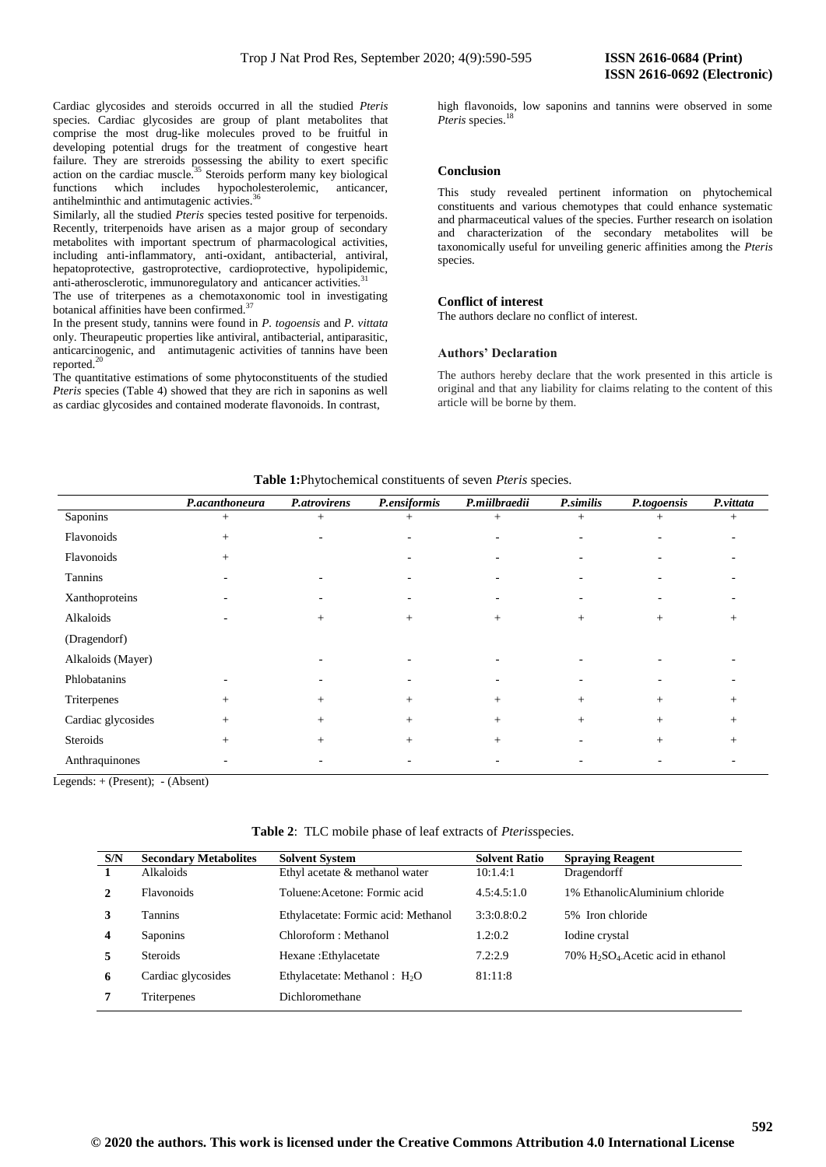Cardiac glycosides and steroids occurred in all the studied *Pteris* species. Cardiac glycosides are group of plant metabolites that comprise the most drug-like molecules proved to be fruitful in developing potential drugs for the treatment of congestive heart failure. They are streroids possessing the ability to exert specific action on the cardiac muscle.<sup>35</sup> Steroids perform many key biological functions which includes hypocholesterolemic, anticancer, antihelminthic and antimutagenic activies.<sup>3</sup>

Similarly, all the studied *Pteris* species tested positive for terpenoids. Recently, triterpenoids have arisen as a major group of secondary metabolites with important spectrum of pharmacological activities, including anti-inflammatory, anti-oxidant, antibacterial, antiviral, hepatoprotective, gastroprotective, cardioprotective, hypolipidemic, anti-atherosclerotic, immunoregulatory and anticancer activities.<sup>31</sup>

The use of triterpenes as a chemotaxonomic tool in investigating botanical affinities have been confirmed.<sup>37</sup>

In the present study, tannins were found in *P. togoensis* and *P. vittata* only. Theurapeutic properties like antiviral, antibacterial, antiparasitic, anticarcinogenic, and antimutagenic activities of tannins have been reported.<sup>20</sup>

The quantitative estimations of some phytoconstituents of the studied *Pteris* species (Table 4) showed that they are rich in saponins as well as cardiac glycosides and contained moderate flavonoids. In contrast,

high flavonoids, low saponins and tannins were observed in some *Pteris* species.<sup>18</sup>

# **Conclusion**

This study revealed pertinent information on phytochemical constituents and various chemotypes that could enhance systematic and pharmaceutical values of the species. Further research on isolation and characterization of the secondary metabolites will be taxonomically useful for unveiling generic affinities among the *Pteris* species.

#### **Conflict of interest**

The authors declare no conflict of interest.

#### **Authors' Declaration**

The authors hereby declare that the work presented in this article is original and that any liability for claims relating to the content of this article will be borne by them.

|                    | P.acanthoneura           | P.atrovirens             | P.ensiformis             | P.miilbraedii | P.similis                | P.togoensis              | P.vittata |
|--------------------|--------------------------|--------------------------|--------------------------|---------------|--------------------------|--------------------------|-----------|
| Saponins           | $^{+}$                   | $^{+}$                   | $^{+}$                   | $^{+}$        | $^{+}$                   | $^{+}$                   | $^{+}$    |
| Flavonoids         | $+$                      | $\overline{\phantom{0}}$ | $\overline{\phantom{0}}$ |               | $\overline{\phantom{a}}$ | $\overline{\phantom{a}}$ |           |
| Flavonoids         | $+$                      |                          | $\overline{\phantom{0}}$ |               | $\overline{\phantom{0}}$ | $\overline{\phantom{a}}$ |           |
| Tannins            |                          |                          |                          |               |                          |                          |           |
| Xanthoproteins     | $\overline{\phantom{0}}$ | $\overline{\phantom{0}}$ |                          |               |                          |                          |           |
| Alkaloids          | -                        | $+$                      | $^{+}$                   | $+$           | $^{+}$                   | $^{+}$                   | $^{+}$    |
| (Dragendorf)       |                          |                          |                          |               |                          |                          |           |
| Alkaloids (Mayer)  |                          |                          |                          |               |                          |                          |           |
| Phlobatanins       |                          |                          |                          |               |                          |                          |           |
| Triterpenes        | $^{+}$                   | $+$                      | $+$                      | $+$           | $^{+}$                   | $+$                      |           |
| Cardiac glycosides | $^{+}$                   | $+$                      | $+$                      | $+$           | $^{+}$                   | $+$                      | $^{+}$    |
| Steroids           | $+$                      | $+$                      | $+$                      | $+$           |                          | $+$                      | $^{+}$    |
| Anthraquinones     |                          |                          |                          |               |                          |                          |           |

**Table 1:**Phytochemical constituents of seven *Pteris* species.

Legends: + (Present); - (Absent)

**Table 2**: TLC mobile phase of leaf extracts of *Pteris*species.

| S/N              | <b>Secondary Metabolites</b> | <b>Solvent System</b>               | <b>Solvent Ratio</b> | <b>Spraying Reagent</b>                                        |
|------------------|------------------------------|-------------------------------------|----------------------|----------------------------------------------------------------|
|                  | Alkaloids                    | Ethyl acetate & methanol water      | 10:1.4:1             | Dragendorff                                                    |
| 2                | <b>Flavonoids</b>            | Toluene: Acetone: Formic acid       | 4.5:4.5:1.0          | 1% Ethanolic Aluminium chloride                                |
| 3                | <b>Tannins</b>               | Ethylacetate: Formic acid: Methanol | 3:3:0.8:0.2          | 5% Iron chloride                                               |
| $\boldsymbol{4}$ | Saponins                     | Chloroform : Methanol               | 1.2:0.2              | Iodine crystal                                                 |
| 5                | <b>Steroids</b>              | Hexane: Ethylacetate                | 7.2:2.9              | $70\%$ H <sub>2</sub> SO <sub>4</sub> . Acetic acid in ethanol |
| 6                | Cardiac glycosides           | Ethylacetate: Methanol : $H_2O$     | 81:11:8              |                                                                |
| 7                | Triterpenes                  | Dichloromethane                     |                      |                                                                |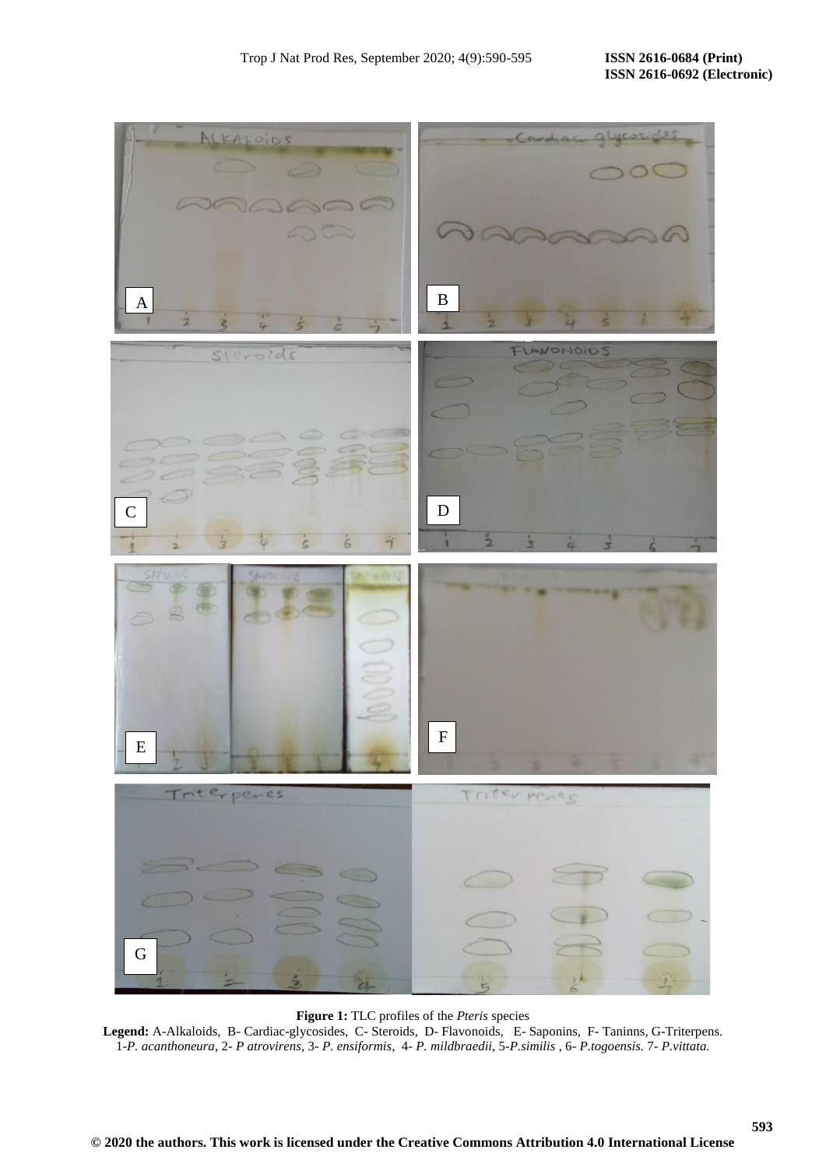**593**



# **Figure 1:** TLC profiles of the *Pteris* species

**Legend:** A-Alkaloids, B- Cardiac-glycosides, C- Steroids, D- Flavonoids, E- Saponins, F- Taninns, G-Triterpens. 1*-P. acanthoneura*, 2- *P atrovirens*, 3- *P. ensiformis*, 4- *P. mildbraedii*, 5-*P.similis* , 6- *P.togoensis.* 7*- P.vittata.*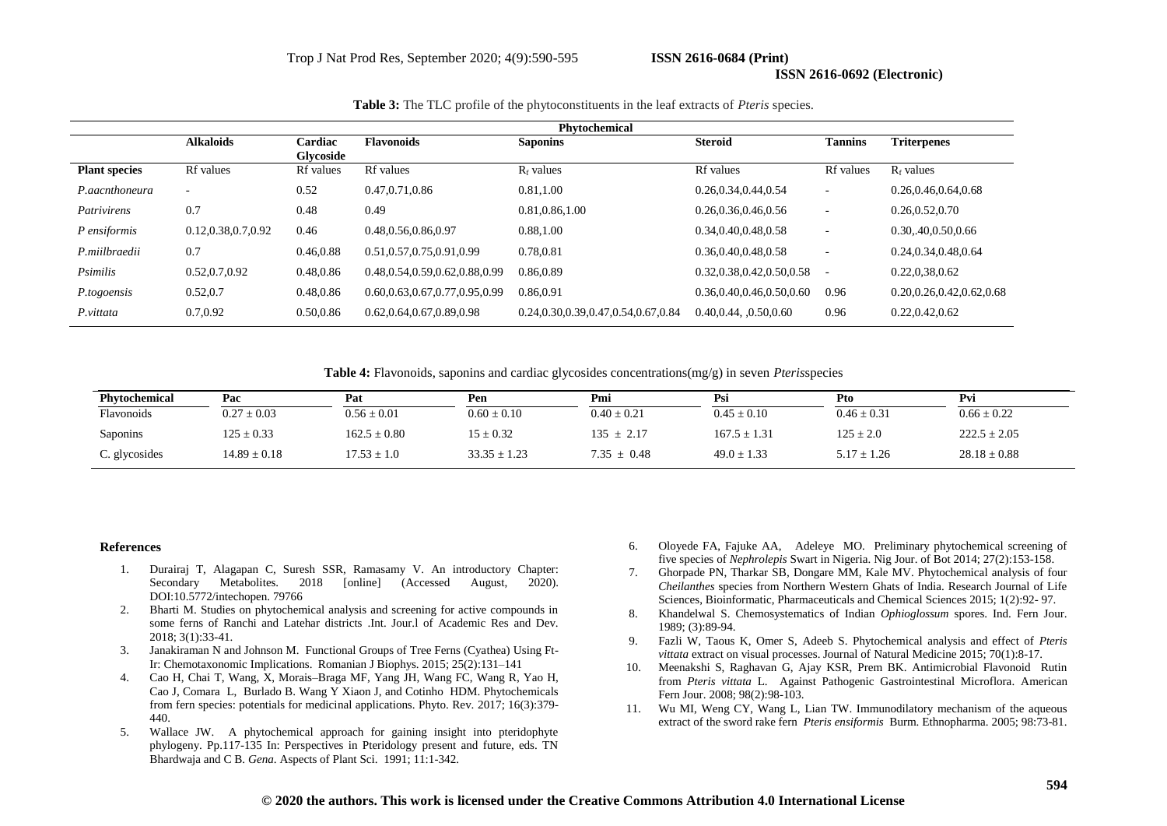### **ISSN 2616-0692 (Electronic)**

| Table 3: The TLC profile of the phytoconstituents in the leaf extracts of Pteris species. |  |  |
|-------------------------------------------------------------------------------------------|--|--|
|-------------------------------------------------------------------------------------------|--|--|

| <b>Phytochemical</b> |                       |                      |                                    |                                          |                          |                          |                              |
|----------------------|-----------------------|----------------------|------------------------------------|------------------------------------------|--------------------------|--------------------------|------------------------------|
|                      | <b>Alkaloids</b>      | Cardiac<br>Glycoside | <b>Flavonoids</b>                  | <b>Saponins</b>                          | <b>Steroid</b>           | <b>Tannins</b>           | <b>Triterpenes</b>           |
| <b>Plant species</b> | Rf values             | <b>Rf</b> values     | <b>Rf</b> values                   | $R_f$ values                             | <b>Rf</b> values         | <b>Rf</b> values         | $R_f$ values                 |
| P.aacnthoneura       | $\overline{a}$        | 0.52                 | 0.47, 0.71, 0.86                   | 0.81,1.00                                | 0.26, 0.34, 0.44, 0.54   |                          | 0.26,0.46,0.64,0.68          |
| Patrivirens          | 0.7                   | 0.48                 | 0.49                               | 0.81,0.86,1.00                           | 0.26, 0.36, 0.46, 0.56   | $\overline{\phantom{a}}$ | 0.26, 0.52, 0.70             |
| P ensiformis         | 0.12, 0.38, 0.7, 0.92 | 0.46                 | 0.48,0.56,0.86,0.97                | 0.88,1.00                                | 0.34,0.40,0.48,0.58      | $\overline{\phantom{a}}$ | 0.30, 40, 0.50, 0.66         |
| P.miilbraedii        | 0.7                   | 0.46,0.88            | 0.51, 0.57, 0.75, 0.91, 0.99       | 0.78,0.81                                | 0.36,0.40,0.48,0.58      | $\overline{\phantom{a}}$ | 0.24, 0.34, 0.48, 0.64       |
| Psimilis             | 0.52, 0.7, 0.92       | 0.48,0.86            | 0.48, 0.54, 0.59, 0.62, 0.88, 0.99 | 0.86,0.89                                | 0.32,0.38,0.42,0.50,0.58 |                          | 0.22,0,38,0.62               |
| P.togoensis          | 0.52, 0.7             | 0.48,0.86            | 0.60,0.63,0.67,0.77,0.95,0.99      | 0.86,0.91                                | 0.36,0.40,0.46,0.50,0.60 | 0.96                     | 0.20, 0.26, 0.42, 0.62, 0.68 |
| P.vittata            | 0.7,0.92              | 0.50,0.86            | 0.62, 0.64, 0.67, 0.89, 0.98       | 0.24, 0.30, 0.39, 0.47, 0.54, 0.67, 0.84 | 0.40, 0.44, 0.50, 0.60   | 0.96                     | 0.22, 0.42, 0.62             |

**Table 4:** Flavonoids, saponins and cardiac glycosides concentrations(mg/g) in seven *Pteris*species

| Phytochemical | Pac              | Pat              | Pen              | Pmi             | Psi              | Pto             | Pvi              |
|---------------|------------------|------------------|------------------|-----------------|------------------|-----------------|------------------|
| Flavonoids    | $0.27 \pm 0.03$  | $0.56 \pm 0.01$  | $0.60 \pm 0.10$  | $0.40 \pm 0.21$ | $0.45 \pm 0.10$  | $0.46 \pm 0.31$ | $0.66 \pm 0.22$  |
| Saponins      | $125 \pm 0.33$   | $162.5 \pm 0.80$ | $15 \pm 0.32$    | $135 \pm 2.17$  | $167.5 \pm 1.31$ | $125 \pm 2.0$   | $222.5 \pm 2.05$ |
| C. glycosides | $14.89 \pm 0.18$ | $17.53 \pm 1.0$  | $33.35 \pm 1.23$ | $7.35 \pm 0.48$ | $49.0 \pm 1.33$  | $5.17 \pm 1.26$ | $28.18 \pm 0.88$ |

#### **References**

- 1. Durairaj T, Alagapan C, Suresh SSR, Ramasamy V. An introductory Chapter: Secondary Metabolites. 2018 [online] (Accessed August, 2020). DOI:10.5772/intechopen. 79766
- 2. Bharti M. Studies on phytochemical analysis and screening for active compounds in some ferns of Ranchi and Latehar districts .Int. Jour.l of Academic Res and Dev. 2018; 3(1):33-41.
- 3. Janakiraman N and Johnson M. Functional Groups of Tree Ferns (Cyathea) Using Ft-Ir: Chemotaxonomic Implications. Romanian J Biophys. 2015; 25(2):131–141
- 4. Cao H, Chai T, Wang, X, Morais–Braga MF, Yang JH, Wang FC, Wang R, Yao H, Cao J, Comara L, Burlado B. Wang Y Xiaon J, and Cotinho HDM. Phytochemicals from fern species: potentials for medicinal applications. Phyto. Rev. 2017; 16(3):379- 440.
- 5. Wallace JW. A phytochemical approach for gaining insight into pteridophyte phylogeny. Pp.117-135 In: Perspectives in Pteridology present and future, eds. TN Bhardwaja and C B. *Gena*. Aspects of Plant Sci. 1991; 11:1-342.
- 6. Oloyede FA, Fajuke AA, Adeleye MO. Preliminary phytochemical screening of five species of *Nephrolepis* Swart in Nigeria. Nig Jour. of Bot 2014; 27(2):153-158.
- 7. Ghorpade PN, Tharkar SB, Dongare MM, Kale MV. Phytochemical analysis of four *Cheilanthes* species from Northern Western Ghats of India. Research Journal of Life Sciences, Bioinformatic, Pharmaceuticals and Chemical Sciences 2015; 1(2):92- 97.
- 8. Khandelwal S. Chemosystematics of Indian *Ophioglossum* spores. Ind. Fern Jour. 1989; (3):89-94.
- 9. Fazli W, Taous K, Omer S, Adeeb S. Phytochemical analysis and effect of *Pteris vittata* extract on visual processes. Journal of Natural Medicine 2015; 70(1):8-17.
- 10. Meenakshi S, Raghavan G, Ajay KSR, Prem BK. Antimicrobial Flavonoid Rutin from *Pteris vittata* L. Against Pathogenic Gastrointestinal Microflora. American Fern Jour. 2008; 98(2):98-103.
- 11. Wu MI, Weng CY, Wang L, Lian TW. Immunodilatory mechanism of the aqueous extract of the sword rake fern *Pteris ensiformis* Burm. Ethnopharma. 2005; 98:73-81.